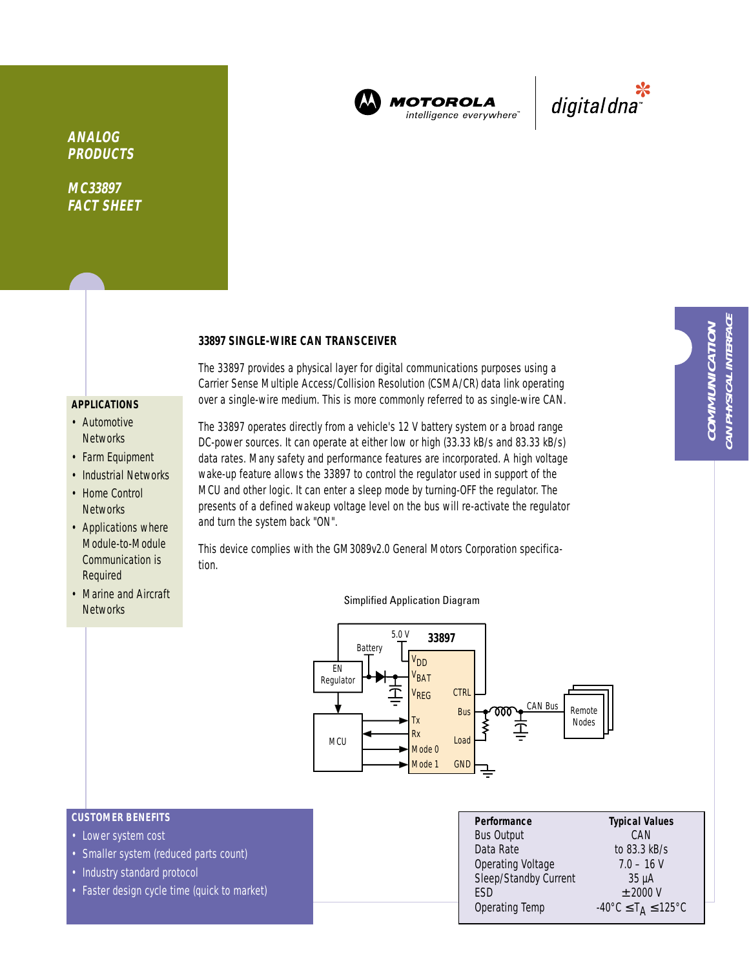

**MOTOROLA** intelligence everywhere<sup>®</sup>



**ANALOG PRODUCTS**

**MC33897 FACT SHEET**

#### **33897 SINGLE-WIRE CAN TRANSCEIVER**

# **APPLICATIONS**

- Automotive **Networks**
- Farm Equipment
- Industrial Networks
- Home Control **Networks**
- Applications where Module-to-Module Communication is Required
- Marine and Aircraft Networks

The 33897 operates directly from a vehicle's 12 V battery system or a broad range DC-power sources. It can operate at either low or high (33.33 kB/s and 83.33 kB/s) data rates. Many safety and performance features are incorporated. A high voltage wake-up feature allows the 33897 to control the regulator used in support of the MCU and other logic. It can enter a sleep mode by turning-OFF the regulator. The presents of a defined wakeup voltage level on the bus will re-activate the regulator and turn the system back "ON".

The 33897 provides a physical layer for digital communications purposes using a Carrier Sense Multiple Access/Collision Resolution (CSMA/CR) data link operating over a single-wire medium. This is more commonly referred to as single-wire CAN.

This device complies with the GM3089v2.0 General Motors Corporation specification.



#### Simplified Application Diagram

# **CUSTOMER BENEFITS**

- Lower system cost
- Smaller system (reduced parts count)
- Industry standard protocol
- Faster design cycle time (quick to market)

| Performance              | <b>Typical Values</b>                                         |  |  |
|--------------------------|---------------------------------------------------------------|--|--|
| <b>Bus Output</b>        | CAN                                                           |  |  |
| Data Rate                | to 83.3 kB/s                                                  |  |  |
| <b>Operating Voltage</b> | $7.0 - 16$ V                                                  |  |  |
| Sleep/Standby Current    | $35 \mu A$                                                    |  |  |
| <b>FSD</b>               | $±$ 2000 V                                                    |  |  |
| Operating Temp           | $-40^{\circ}$ C $\leq$ T <sub>A</sub> $\leq$ 125 $^{\circ}$ C |  |  |